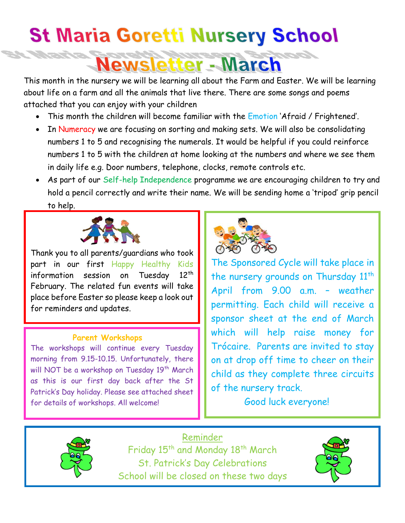## **St Maria Goretti Nursery School**

**Newsletter - March** 

This month in the nursery we will be learning all about the Farm and Easter. We will be learning about life on a farm and all the animals that live there. There are some songs and poems attached that you can enjoy with your children

- This month the children will become familiar with the *Emotion 'Afraid / Frightened'*.
- In Numeracy we are focusing on sorting and making sets. We will also be consolidating numbers 1 to 5 and recognising the numerals. It would be helpful if you could reinforce numbers 1 to 5 with the children at home looking at the numbers and where we see them in daily life e.g. Door numbers, telephone, clocks, remote controls etc.
- As part of our Self-help Independence programme we are encouraging children to try and hold a pencil correctly and write their name. We will be sending home a 'tripod' grip pencil to help.



Thank you to all parents/guardians who took part in our first Happy Healthy Kids information session on Tuesday 12<sup>th</sup> February. The related fun events will take place before Easter so please keep a look out for reminders and updates.

## **Parent Workshops**

The workshops will continue every Tuesday morning from 9.15-10.15. Unfortunately, there will NOT be a workshop on Tuesday 19<sup>th</sup> March as this is our first day back after the St Patrick's Day holiday. Please see attached sheet for details of workshops. All welcome!



The Sponsored Cycle will take place in the nursery grounds on Thursday 11<sup>th</sup> April from 9.00 a.m. – weather permitting. Each child will receive a sponsor sheet at the end of March which will help raise money for Trócaire. Parents are invited to stay on at drop off time to cheer on their child as they complete three circuits of the nursery track.

Good luck everyone!



Reminder Friday 15<sup>th</sup> and Monday 18<sup>th</sup> March St. Patrick's Day Celebrations School will be closed on these two days